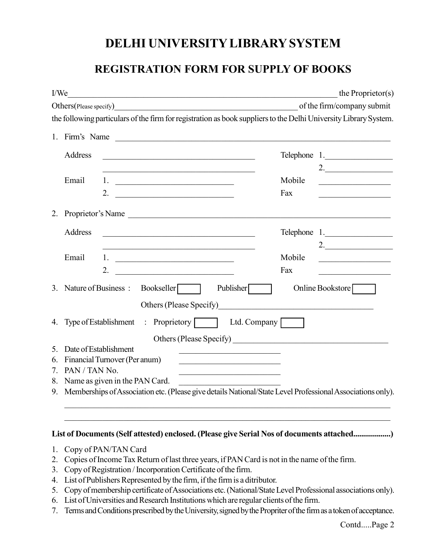## DELHI UNIVERSITY LIBRARY SYSTEM

## REGISTRATION FORM FOR SUPPLY OF BOOKS

| I/We                    |                                                                                                                                                                                          |                                                                                                                        |                            | the Proprietor(s)                        |
|-------------------------|------------------------------------------------------------------------------------------------------------------------------------------------------------------------------------------|------------------------------------------------------------------------------------------------------------------------|----------------------------|------------------------------------------|
| Others (Please specify) |                                                                                                                                                                                          |                                                                                                                        | of the firm/company submit |                                          |
|                         |                                                                                                                                                                                          | the following particulars of the firm for registration as book suppliers to the Delhi University Library System.       |                            |                                          |
|                         |                                                                                                                                                                                          | 1. Firm's Name                                                                                                         |                            |                                          |
|                         | Address                                                                                                                                                                                  | <u> 1989 - Johann Barbara, martxa alemaniar argumento estas estas estas estas estas estas estas estas estas estas </u> |                            | Telephone 1.                             |
|                         |                                                                                                                                                                                          |                                                                                                                        |                            | 2.                                       |
|                         | Email                                                                                                                                                                                    |                                                                                                                        | Mobile                     |                                          |
|                         |                                                                                                                                                                                          |                                                                                                                        | Fax                        | <u> 1990 - Johann Barbara, martxa al</u> |
|                         |                                                                                                                                                                                          | 2. Proprietor's Name                                                                                                   |                            |                                          |
|                         | Address                                                                                                                                                                                  | <u> 1989 - Paris Alexandria, primeira eta profesora (h. 1989).</u>                                                     |                            | Telephone 1.                             |
|                         |                                                                                                                                                                                          |                                                                                                                        |                            | 2.                                       |
|                         | Email                                                                                                                                                                                    |                                                                                                                        | Mobile                     | <u> 1990 - Johann Barbara, martin a</u>  |
|                         |                                                                                                                                                                                          | 2. $\qquad \qquad$                                                                                                     | Fax                        |                                          |
|                         | 3. Nature of Business : Bookseller<br>Publisher $\sqrt{\phantom{a}}$<br>Online Bookstore<br>Others (Please Specify)<br><u> 1980 - Jan Berlin, margaret amerikan bizkaitar (h. 1980).</u> |                                                                                                                        |                            |                                          |
|                         |                                                                                                                                                                                          | 4. Type of Establishment : Proprietory<br>Ltd. Company                                                                 |                            |                                          |
|                         |                                                                                                                                                                                          |                                                                                                                        |                            |                                          |
|                         |                                                                                                                                                                                          |                                                                                                                        |                            |                                          |
| 5.                      | Date of Establishment                                                                                                                                                                    |                                                                                                                        |                            |                                          |
| 6.                      | Financial Turnover (Per anum)<br><u> 1990 - Johann John Stoff, mars and de British and de British and de British and de British and de British and</u><br>7. PAN / TAN No.               |                                                                                                                        |                            |                                          |
|                         | <u> 1950 - Johann John Stoff, mars et al. 1950 - 1950 - 1951 - 1951 - 1951 - 1951 - 1951 - 1951 - 1951 - 1951 - 1</u><br>8. Name as given in the PAN Card.                               |                                                                                                                        |                            |                                          |
|                         | 9. Memberships of Association etc. (Please give details National/State Level Professional Associations only).                                                                            |                                                                                                                        |                            |                                          |
|                         |                                                                                                                                                                                          |                                                                                                                        |                            |                                          |

## List of Documents (Self attested) enclosed. (Please give Serial Nos of documents attached...................)

- 1. Copy of PAN/TAN Card
- 2. Copies of Income Tax Return of last three years, if PAN Card is not in the name of the firm.
- 3. Copy of Registration / Incorporation Certificate of the firm.
- 4. List of Publishers Represented by the firm, if the firm is a ditributor.
- 5. Copy of membership certificate of Associations etc. (National/State Level Professional associations only).
- 6. List of Universities and Research Institutions which are regular clients of the firm.
- 7. Terms and Conditions prescribed by the University, signed by the Propriter of the firm as a token of acceptance.